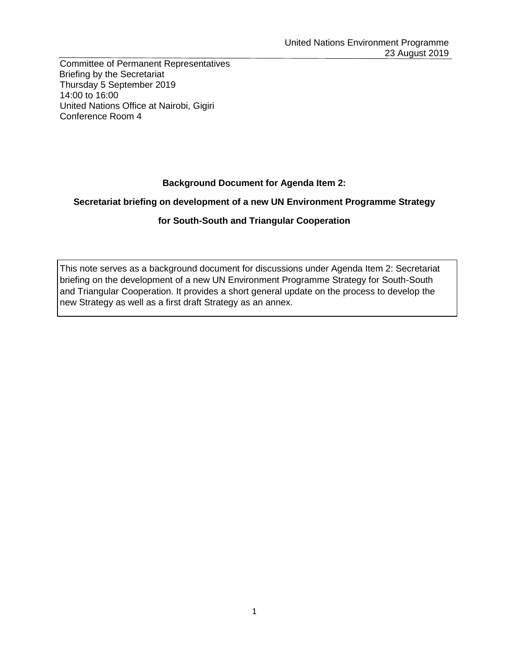Committee of Permanent Representatives Briefing by the Secretariat Thursday 5 September 2019 14:00 to 16:00 United Nations Office at Nairobi, Gigiri Conference Room 4

# **Background Document for Agenda Item 2:**

### **Secretariat briefing on development of a new UN Environment Programme Strategy**

### **for South-South and Triangular Cooperation**

This note serves as a background document for discussions under Agenda Item 2: Secretariat briefing on the development of a new UN Environment Programme Strategy for South-South and Triangular Cooperation. It provides a short general update on the process to develop the new Strategy as well as a first draft Strategy as an annex.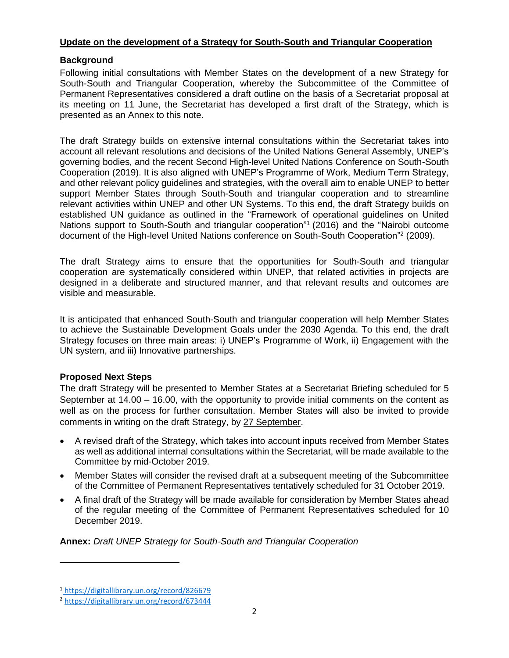### **Update on the development of a Strategy for South-South and Triangular Cooperation**

### **Background**

Following initial consultations with Member States on the development of a new Strategy for South-South and Triangular Cooperation, whereby the Subcommittee of the Committee of Permanent Representatives considered a draft outline on the basis of a Secretariat proposal at its meeting on 11 June, the Secretariat has developed a first draft of the Strategy, which is presented as an Annex to this note.

The draft Strategy builds on extensive internal consultations within the Secretariat takes into account all relevant resolutions and decisions of the United Nations General Assembly, UNEP's governing bodies, and the recent Second High-level United Nations Conference on South-South Cooperation (2019). It is also aligned with UNEP's Programme of Work, Medium Term Strategy, and other relevant policy guidelines and strategies, with the overall aim to enable UNEP to better support Member States through South-South and triangular cooperation and to streamline relevant activities within UNEP and other UN Systems. To this end, the draft Strategy builds on established UN guidance as outlined in the "Framework of operational guidelines on United Nations support to South-South and triangular cooperation"<sup>1</sup> (2016) and the "Nairobi outcome document of the High-level United Nations conference on South-South Cooperation"<sup>2</sup> (2009).

The draft Strategy aims to ensure that the opportunities for South-South and triangular cooperation are systematically considered within UNEP, that related activities in projects are designed in a deliberate and structured manner, and that relevant results and outcomes are visible and measurable.

It is anticipated that enhanced South-South and triangular cooperation will help Member States to achieve the Sustainable Development Goals under the 2030 Agenda. To this end, the draft Strategy focuses on three main areas: i) UNEP's Programme of Work, ii) Engagement with the UN system, and iii) Innovative partnerships.

### **Proposed Next Steps**

The draft Strategy will be presented to Member States at a Secretariat Briefing scheduled for 5 September at 14.00 – 16.00, with the opportunity to provide initial comments on the content as well as on the process for further consultation. Member States will also be invited to provide comments in writing on the draft Strategy, by 27 September.

- A revised draft of the Strategy, which takes into account inputs received from Member States as well as additional internal consultations within the Secretariat, will be made available to the Committee by mid-October 2019.
- Member States will consider the revised draft at a subsequent meeting of the Subcommittee of the Committee of Permanent Representatives tentatively scheduled for 31 October 2019.
- A final draft of the Strategy will be made available for consideration by Member States ahead of the regular meeting of the Committee of Permanent Representatives scheduled for 10 December 2019.

**Annex:** *Draft UNEP Strategy for South*‐*South and Triangular Cooperation*

 $\overline{\phantom{a}}$ 

<sup>1</sup> <https://digitallibrary.un.org/record/826679>

<sup>2</sup> <https://digitallibrary.un.org/record/673444>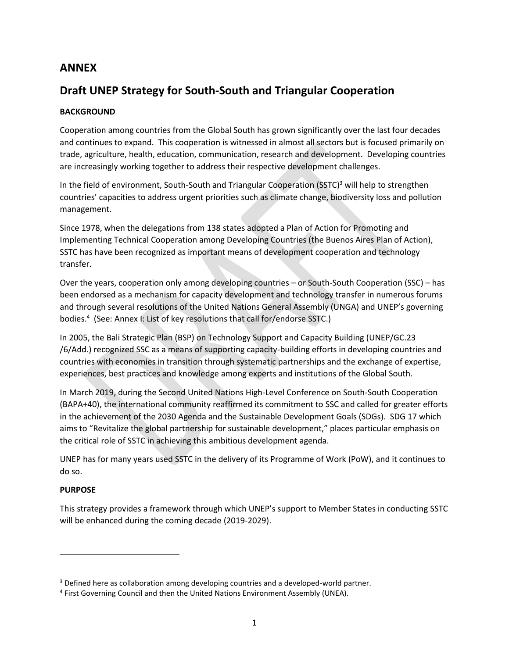# **ANNEX**

# **Draft UNEP Strategy for South‐South and Triangular Cooperation**

### **BACKGROUND**

Cooperation among countries from the Global South has grown significantly over the last four decades and continues to expand. This cooperation is witnessed in almost all sectors but is focused primarily on trade, agriculture, health, education, communication, research and development. Developing countries are increasingly working together to address their respective development challenges.

In the field of environment, South-South and Triangular Cooperation (SSTC)<sup>3</sup> will help to strengthen countries' capacities to address urgent priorities such as climate change, biodiversity loss and pollution management.

Since 1978, when the delegations from 138 states adopted a Plan of Action for Promoting and Implementing Technical Cooperation among Developing Countries (the Buenos Aires Plan of Action), SSTC has have been recognized as important means of development cooperation and technology transfer.

Over the years, cooperation only among developing countries – or South-South Cooperation (SSC) – has been endorsed as a mechanism for capacity development and technology transfer in numerous forums and through several resolutions of the United Nations General Assembly (UNGA) and UNEP's governing bodies.<sup>4</sup> (See: Annex I: List of key resolutions that call for/endorse SSTC.)

In 2005, the Bali Strategic Plan (BSP) on Technology Support and Capacity Building (UNEP/GC.23 /6/Add.) recognized SSC as a means of supporting capacity-building efforts in developing countries and countries with economies in transition through systematic partnerships and the exchange of expertise, experiences, best practices and knowledge among experts and institutions of the Global South.

In March 2019, during the Second United Nations High-Level Conference on South-South Cooperation (BAPA+40), the international community reaffirmed its commitment to SSC and called for greater efforts in the achievement of the 2030 Agenda and the Sustainable Development Goals (SDGs). SDG 17 which aims to "Revitalize the global partnership for sustainable development," places particular emphasis on the critical role of SSTC in achieving this ambitious development agenda.

UNEP has for many years used SSTC in the delivery of its Programme of Work (PoW), and it continues to do so.

### **PURPOSE**

 $\overline{\phantom{a}}$ 

This strategy provides a framework through which UNEP's support to Member States in conducting SSTC will be enhanced during the coming decade (2019-2029).

<sup>&</sup>lt;sup>3</sup> Defined here as collaboration among developing countries and a developed-world partner.

<sup>&</sup>lt;sup>4</sup> First Governing Council and then the United Nations Environment Assembly (UNEA).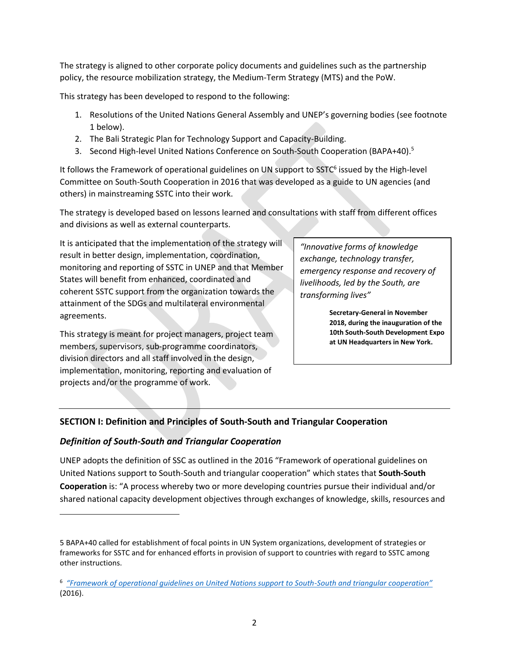The strategy is aligned to other corporate policy documents and guidelines such as the partnership policy, the resource mobilization strategy, the Medium-Term Strategy (MTS) and the PoW.

This strategy has been developed to respond to the following:

- 1. Resolutions of the United Nations General Assembly and UNEP's governing bodies (see footnote 1 below).
- 2. The Bali Strategic Plan for Technology Support and Capacity-Building.
- 3. Second High-level United Nations Conference on South-South Cooperation (BAPA+40).<sup>5</sup>

It follows the Framework of operational guidelines on UN support to SSTC<sup>6</sup> issued by the High-level Committee on South-South Cooperation in 2016 that was developed as a guide to UN agencies (and others) in mainstreaming SSTC into their work.

The strategy is developed based on lessons learned and consultations with staff from different offices and divisions as well as external counterparts.

It is anticipated that the implementation of the strategy will result in better design, implementation, coordination, monitoring and reporting of SSTC in UNEP and that Member States will benefit from enhanced, coordinated and coherent SSTC support from the organization towards the attainment of the SDGs and multilateral environmental agreements.

This strategy is meant for project managers, project team members, supervisors, sub-programme coordinators, division directors and all staff involved in the design, implementation, monitoring, reporting and evaluation of projects and/or the programme of work.

*"Innovative forms of knowledge exchange, technology transfer, emergency response and recovery of livelihoods, led by the South, are transforming lives"* 

> **Secretary-General in November 2018, during the inauguration of the 10th South-South Development Expo at UN Headquarters in New York.**

# **SECTION I: Definition and Principles of South-South and Triangular Cooperation**

### *Definition of South-South and Triangular Cooperation*

l

UNEP adopts the definition of SSC as outlined in the 2016 "Framework of operational guidelines on United Nations support to South-South and triangular cooperation" which states that **South-South Cooperation** is: "A process whereby two or more developing countries pursue their individual and/or shared national capacity development objectives through exchanges of knowledge, skills, resources and

<sup>5</sup> BAPA+40 called for establishment of focal points in UN System organizations, development of strategies or frameworks for SSTC and for enhanced efforts in provision of support to countries with regard to SSTC among other instructions.

<sup>6</sup> *["Framework of operational guidelines on United Nations support to South](https://digitallibrary.un.org/record/826679)-South and triangular cooperation"* (2016).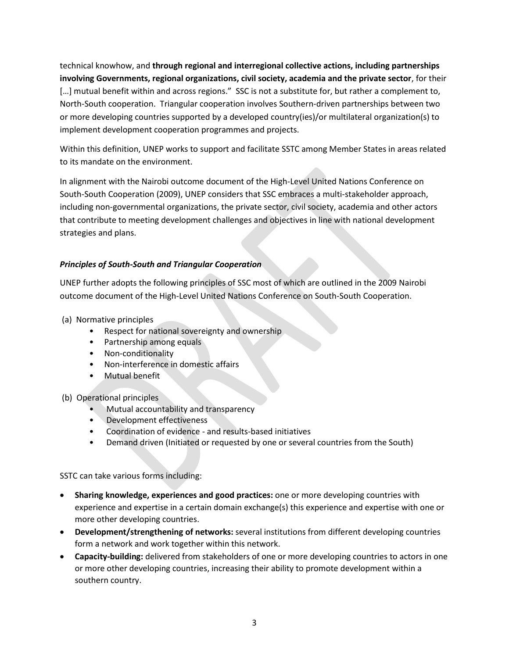technical knowhow, and **through regional and interregional collective actions, including partnerships involving Governments, regional organizations, civil society, academia and the private sector**, for their [...] mutual benefit within and across regions." SSC is not a substitute for, but rather a complement to, North-South cooperation. Triangular cooperation involves Southern-driven partnerships between two or more developing countries supported by a developed country(ies)/or multilateral organization(s) to implement development cooperation programmes and projects.

Within this definition, UNEP works to support and facilitate SSTC among Member States in areas related to its mandate on the environment.

In alignment with the Nairobi outcome document of the High-Level United Nations Conference on South-South Cooperation (2009), UNEP considers that SSC embraces a multi-stakeholder approach, including non-governmental organizations, the private sector, civil society, academia and other actors that contribute to meeting development challenges and objectives in line with national development strategies and plans.

#### *Principles of South-South and Triangular Cooperation*

UNEP further adopts the following principles of SSC most of which are outlined in the 2009 Nairobi outcome document of the High-Level United Nations Conference on South-South Cooperation.

- (a) Normative principles
	- Respect for national sovereignty and ownership
	- Partnership among equals
	- Non-conditionality
	- Non-interference in domestic affairs
	- Mutual benefit
- (b) Operational principles
	- Mutual accountability and transparency
	- Development effectiveness
	- Coordination of evidence and results-based initiatives
	- Demand driven (Initiated or requested by one or several countries from the South)

SSTC can take various forms including:

- **Sharing knowledge, experiences and good practices:** one or more developing countries with experience and expertise in a certain domain exchange(s) this experience and expertise with one or more other developing countries.
- **Development/strengthening of networks:** several institutions from different developing countries form a network and work together within this network.
- **Capacity-building:** delivered from stakeholders of one or more developing countries to actors in one or more other developing countries, increasing their ability to promote development within a southern country.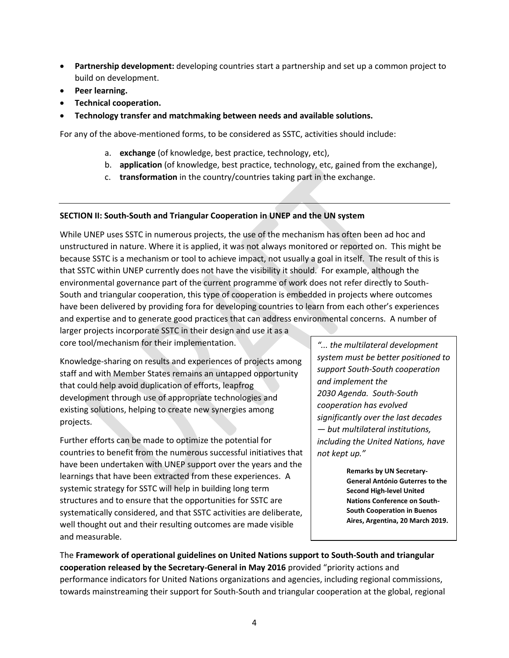- **Partnership development:** developing countries start a partnership and set up a common project to build on development.
- **Peer learning.**
- **Technical cooperation.**
- **Technology transfer and matchmaking between needs and available solutions.**

For any of the above-mentioned forms, to be considered as SSTC, activities should include:

- a. **exchange** (of knowledge, best practice, technology, etc),
- b. **application** (of knowledge, best practice, technology, etc, gained from the exchange),
- c. **transformation** in the country/countries taking part in the exchange.

### **SECTION II: South-South and Triangular Cooperation in UNEP and the UN system**

While UNEP uses SSTC in numerous projects, the use of the mechanism has often been ad hoc and unstructured in nature. Where it is applied, it was not always monitored or reported on. This might be because SSTC is a mechanism or tool to achieve impact, not usually a goal in itself. The result of this is that SSTC within UNEP currently does not have the visibility it should. For example, although the environmental governance part of the current programme of work does not refer directly to South-South and triangular cooperation, this type of cooperation is embedded in projects where outcomes have been delivered by providing fora for developing countries to learn from each other's experiences and expertise and to generate good practices that can address environmental concerns. A number of

larger projects incorporate SSTC in their design and use it as a core tool/mechanism for their implementation.

Knowledge-sharing on results and experiences of projects among staff and with Member States remains an untapped opportunity that could help avoid duplication of efforts, leapfrog development through use of appropriate technologies and existing solutions, helping to create new synergies among projects.

Further efforts can be made to optimize the potential for countries to benefit from the numerous successful initiatives that have been undertaken with UNEP support over the years and the learnings that have been extracted from these experiences. A systemic strategy for SSTC will help in building long term structures and to ensure that the opportunities for SSTC are systematically considered, and that SSTC activities are deliberate, well thought out and their resulting outcomes are made visible and measurable.

*"... the multilateral development system must be better positioned to support South-South cooperation and implement the 2030 Agenda. South-South cooperation has evolved significantly over the last decades — but multilateral institutions, including the United Nations, have not kept up."*

> **Remarks by UN Secretary-General António Guterres to the Second High-level United Nations Conference on South-South Cooperation in Buenos Aires, Argentina, 20 March 2019.**

The **Framework of operational guidelines on United Nations support to South-South and triangular cooperation released by the Secretary-General in May 2016** provided "priority actions and performance indicators for United Nations organizations and agencies, including regional commissions, towards mainstreaming their support for South-South and triangular cooperation at the global, regional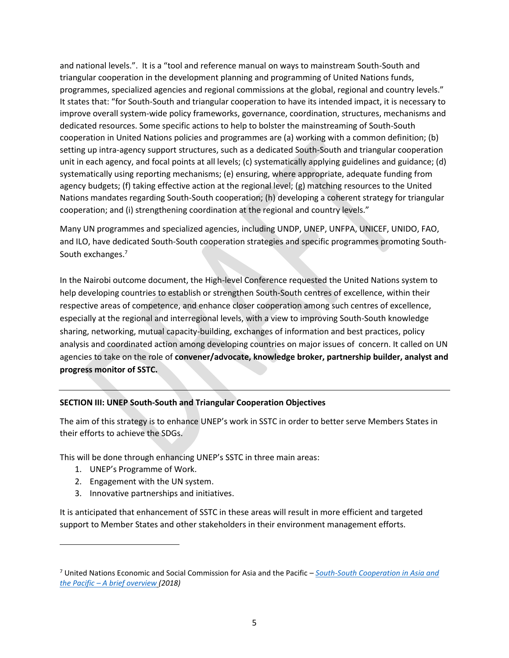and national levels.". It is a "tool and reference manual on ways to mainstream South-South and triangular cooperation in the development planning and programming of United Nations funds, programmes, specialized agencies and regional commissions at the global, regional and country levels." It states that: "for South-South and triangular cooperation to have its intended impact, it is necessary to improve overall system-wide policy frameworks, governance, coordination, structures, mechanisms and dedicated resources. Some specific actions to help to bolster the mainstreaming of South-South cooperation in United Nations policies and programmes are (a) working with a common definition; (b) setting up intra-agency support structures, such as a dedicated South-South and triangular cooperation unit in each agency, and focal points at all levels; (c) systematically applying guidelines and guidance; (d) systematically using reporting mechanisms; (e) ensuring, where appropriate, adequate funding from agency budgets; (f) taking effective action at the regional level; (g) matching resources to the United Nations mandates regarding South-South cooperation; (h) developing a coherent strategy for triangular cooperation; and (i) strengthening coordination at the regional and country levels."

Many UN programmes and specialized agencies, including UNDP, UNEP, UNFPA, UNICEF, UNIDO, FAO, and ILO, have dedicated South-South cooperation strategies and specific programmes promoting South-South exchanges.<sup>7</sup>

In the Nairobi outcome document, the High-level Conference requested the United Nations system to help developing countries to establish or strengthen South-South centres of excellence, within their respective areas of competence, and enhance closer cooperation among such centres of excellence, especially at the regional and interregional levels, with a view to improving South-South knowledge sharing, networking, mutual capacity-building, exchanges of information and best practices, policy analysis and coordinated action among developing countries on major issues of concern. It called on UN agencies to take on the role of **convener/advocate, knowledge broker, partnership builder, analyst and progress monitor of SSTC.**

### **SECTION III: UNEP South-South and Triangular Cooperation Objectives**

The aim of this strategy is to enhance UNEP's work in SSTC in order to better serve Members States in their efforts to achieve the SDGs.

This will be done through enhancing UNEP's SSTC in three main areas:

1. UNEP's Programme of Work.

 $\overline{\phantom{a}}$ 

- 2. Engagement with the UN system.
- 3. Innovative partnerships and initiatives.

It is anticipated that enhancement of SSTC in these areas will result in more efficient and targeted support to Member States and other stakeholders in their environment management efforts.

<sup>7</sup> United Nations Economic and Social Commission for Asia and the Pacific – *[South-South Cooperation in Asia and](https://www.unescap.org/sites/default/files/SSC_Paper_v04_20180621_FINAL_formatted.pdf)  the Pacific – [A brief overview](https://www.unescap.org/sites/default/files/SSC_Paper_v04_20180621_FINAL_formatted.pdf) (2018)*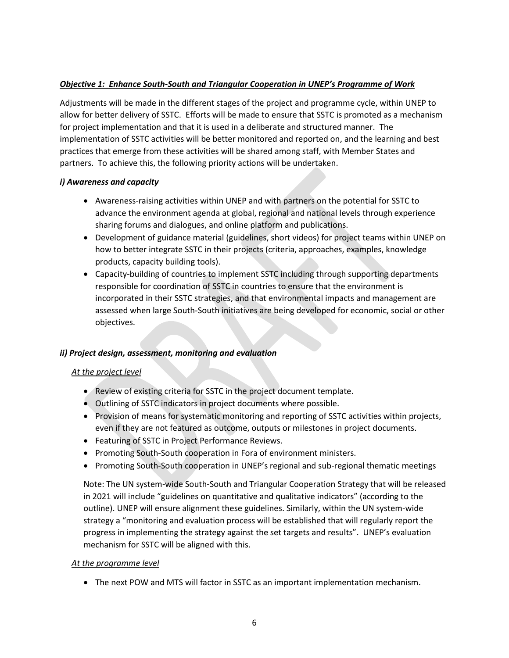### *Objective 1: Enhance South-South and Triangular Cooperation in UNEP's Programme of Work*

Adjustments will be made in the different stages of the project and programme cycle, within UNEP to allow for better delivery of SSTC. Efforts will be made to ensure that SSTC is promoted as a mechanism for project implementation and that it is used in a deliberate and structured manner. The implementation of SSTC activities will be better monitored and reported on, and the learning and best practices that emerge from these activities will be shared among staff, with Member States and partners. To achieve this, the following priority actions will be undertaken.

#### *i) Awareness and capacity*

- Awareness-raising activities within UNEP and with partners on the potential for SSTC to advance the environment agenda at global, regional and national levels through experience sharing forums and dialogues, and online platform and publications.
- Development of guidance material (guidelines, short videos) for project teams within UNEP on how to better integrate SSTC in their projects (criteria, approaches, examples, knowledge products, capacity building tools).
- Capacity-building of countries to implement SSTC including through supporting departments responsible for coordination of SSTC in countries to ensure that the environment is incorporated in their SSTC strategies, and that environmental impacts and management are assessed when large South-South initiatives are being developed for economic, social or other objectives.

#### *ii) Project design, assessment, monitoring and evaluation*

#### *At the project level*

- Review of existing criteria for SSTC in the project document template.
- Outlining of SSTC indicators in project documents where possible.
- Provision of means for systematic monitoring and reporting of SSTC activities within projects, even if they are not featured as outcome, outputs or milestones in project documents.
- Featuring of SSTC in Project Performance Reviews.
- Promoting South-South cooperation in Fora of environment ministers.
- Promoting South-South cooperation in UNEP's regional and sub-regional thematic meetings

Note: The UN system-wide South-South and Triangular Cooperation Strategy that will be released in 2021 will include "guidelines on quantitative and qualitative indicators" (according to the outline). UNEP will ensure alignment these guidelines. Similarly, within the UN system-wide strategy a "monitoring and evaluation process will be established that will regularly report the progress in implementing the strategy against the set targets and results". UNEP's evaluation mechanism for SSTC will be aligned with this.

#### *At the programme level*

• The next POW and MTS will factor in SSTC as an important implementation mechanism.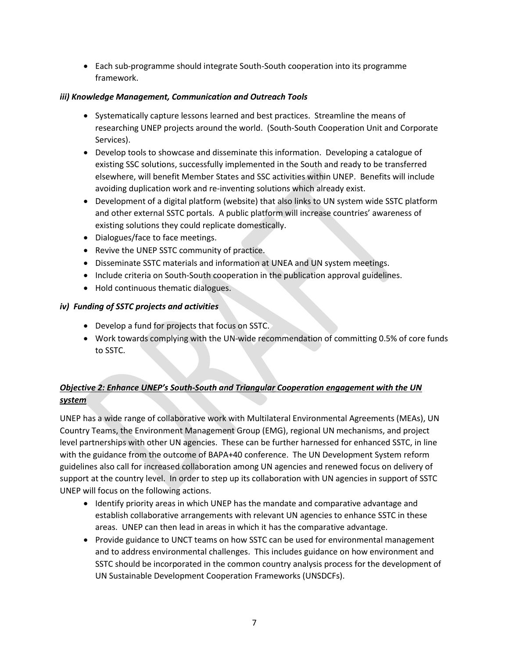• Each sub-programme should integrate South-South cooperation into its programme framework.

### *iii) Knowledge Management, Communication and Outreach Tools*

- Systematically capture lessons learned and best practices. Streamline the means of researching UNEP projects around the world. (South-South Cooperation Unit and Corporate Services).
- Develop tools to showcase and disseminate this information. Developing a catalogue of existing SSC solutions, successfully implemented in the South and ready to be transferred elsewhere, will benefit Member States and SSC activities within UNEP. Benefits will include avoiding duplication work and re-inventing solutions which already exist.
- Development of a digital platform (website) that also links to UN system wide SSTC platform and other external SSTC portals. A public platform will increase countries' awareness of existing solutions they could replicate domestically.
- Dialogues/face to face meetings.
- Revive the UNEP SSTC community of practice.
- Disseminate SSTC materials and information at UNEA and UN system meetings.
- Include criteria on South-South cooperation in the publication approval guidelines.
- Hold continuous thematic dialogues.

#### *iv) Funding of SSTC projects and activities*

- Develop a fund for projects that focus on SSTC.
- Work towards complying with the UN-wide recommendation of committing 0.5% of core funds to SSTC.

# *Objective 2: Enhance UNEP's South-South and Triangular Cooperation engagement with the UN system*

UNEP has a wide range of collaborative work with Multilateral Environmental Agreements (MEAs), UN Country Teams, the Environment Management Group (EMG), regional UN mechanisms, and project level partnerships with other UN agencies. These can be further harnessed for enhanced SSTC, in line with the guidance from the outcome of BAPA+40 conference. The UN Development System reform guidelines also call for increased collaboration among UN agencies and renewed focus on delivery of support at the country level. In order to step up its collaboration with UN agencies in support of SSTC UNEP will focus on the following actions.

- Identify priority areas in which UNEP has the mandate and comparative advantage and establish collaborative arrangements with relevant UN agencies to enhance SSTC in these areas. UNEP can then lead in areas in which it has the comparative advantage.
- Provide guidance to UNCT teams on how SSTC can be used for environmental management and to address environmental challenges. This includes guidance on how environment and SSTC should be incorporated in the common country analysis process for the development of UN Sustainable Development Cooperation Frameworks (UNSDCFs).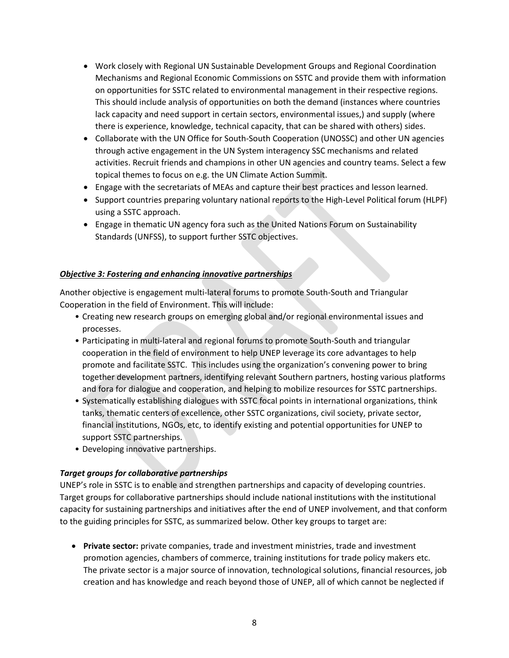- Work closely with Regional UN Sustainable Development Groups and Regional Coordination Mechanisms and Regional Economic Commissions on SSTC and provide them with information on opportunities for SSTC related to environmental management in their respective regions. This should include analysis of opportunities on both the demand (instances where countries lack capacity and need support in certain sectors, environmental issues,) and supply (where there is experience, knowledge, technical capacity, that can be shared with others) sides.
- Collaborate with the UN Office for South-South Cooperation (UNOSSC) and other UN agencies through active engagement in the UN System interagency SSC mechanisms and related activities. Recruit friends and champions in other UN agencies and country teams. Select a few topical themes to focus on e.g. the UN Climate Action Summit.
- Engage with the secretariats of MEAs and capture their best practices and lesson learned.
- Support countries preparing voluntary national reports to the High-Level Political forum (HLPF) using a SSTC approach.
- Engage in thematic UN agency fora such as the United Nations Forum on Sustainability Standards (UNFSS), to support further SSTC objectives.

#### *Objective 3: Fostering and enhancing innovative partnerships*

Another objective is engagement multi-lateral forums to promote South-South and Triangular Cooperation in the field of Environment. This will include:

- Creating new research groups on emerging global and/or regional environmental issues and processes.
- Participating in multi-lateral and regional forums to promote South-South and triangular cooperation in the field of environment to help UNEP leverage its core advantages to help promote and facilitate SSTC. This includes using the organization's convening power to bring together development partners, identifying relevant Southern partners, hosting various platforms and fora for dialogue and cooperation, and helping to mobilize resources for SSTC partnerships.
- Systematically establishing dialogues with SSTC focal points in international organizations, think tanks, thematic centers of excellence, other SSTC organizations, civil society, private sector, financial institutions, NGOs, etc, to identify existing and potential opportunities for UNEP to support SSTC partnerships.
- Developing innovative partnerships.

### *Target groups for collaborative partnerships*

UNEP's role in SSTC is to enable and strengthen partnerships and capacity of developing countries. Target groups for collaborative partnerships should include national institutions with the institutional capacity for sustaining partnerships and initiatives after the end of UNEP involvement, and that conform to the guiding principles for SSTC, as summarized below. Other key groups to target are:

• **Private sector:** private companies, trade and investment ministries, trade and investment promotion agencies, chambers of commerce, training institutions for trade policy makers etc. The private sector is a major source of innovation, technological solutions, financial resources, job creation and has knowledge and reach beyond those of UNEP, all of which cannot be neglected if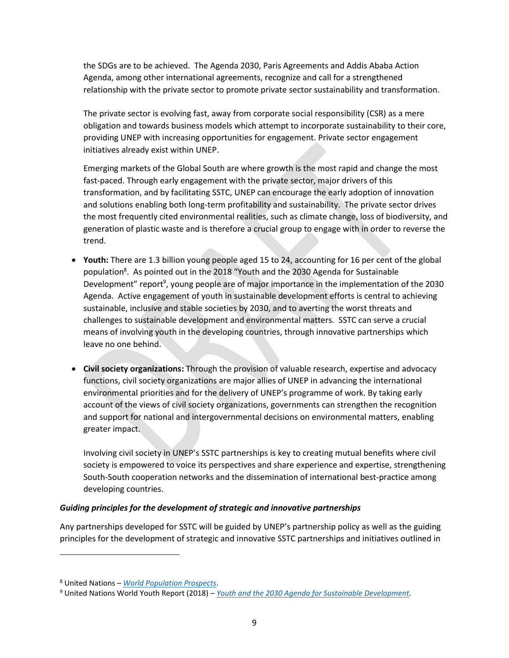the SDGs are to be achieved. The Agenda 2030, Paris Agreements and Addis Ababa Action Agenda, among other international agreements, recognize and call for a strengthened relationship with the private sector to promote private sector sustainability and transformation.

The private sector is evolving fast, away from corporate social responsibility (CSR) as a mere obligation and towards business models which attempt to incorporate sustainability to their core, providing UNEP with increasing opportunities for engagement. Private sector engagement initiatives already exist within UNEP.

Emerging markets of the Global South are where growth is the most rapid and change the most fast-paced. Through early engagement with the private sector, major drivers of this transformation, and by facilitating SSTC, UNEP can encourage the early adoption of innovation and solutions enabling both long-term profitability and sustainability. The private sector drives the most frequently cited environmental realities, such as climate change, loss of biodiversity, and generation of plastic waste and is therefore a crucial group to engage with in order to reverse the trend.

- **Youth:** There are 1.3 billion young people aged 15 to 24, accounting for 16 per cent of the global population<sup>8</sup>. As pointed out in the 2018 "Youth and the 2030 Agenda for Sustainable Development" report<sup>9</sup>, young people are of major importance in the implementation of the 2030 Agenda. Active engagement of youth in sustainable development efforts is central to achieving sustainable, inclusive and stable societies by 2030, and to averting the worst threats and challenges to sustainable development and environmental matters. SSTC can serve a crucial means of involving youth in the developing countries, through innovative partnerships which leave no one behind.
- **Civil society organizations:** Through the provision of valuable research, expertise and advocacy functions, civil society organizations are major allies of UNEP in advancing the international environmental priorities and for the delivery of UNEP's programme of work. By taking early account of the views of civil society organizations, governments can strengthen the recognition and support for national and intergovernmental decisions on environmental matters, enabling greater impact.

Involving civil society in UNEP's SSTC partnerships is key to creating mutual benefits where civil society is empowered to voice its perspectives and share experience and expertise, strengthening South-South cooperation networks and the dissemination of international best-practice among developing countries.

#### *Guiding principles for the development of strategic and innovative partnerships*

Any partnerships developed for SSTC will be guided by UNEP's partnership policy as well as the guiding principles for the development of strategic and innovative SSTC partnerships and initiatives outlined in

 $\overline{\phantom{a}}$ 

<sup>8</sup> United Nations – *[World Population Prospects](https://population.un.org/wpp/Download/Standard/Population/)*.

<sup>9</sup> United Nations World Youth Report (2018) – *[Youth and the 2030 Agenda for Sustainable Development.](https://www.un.org/development/desa/youth/wp-content/uploads/sites/21/2018/12/WorldYouthReport-2030Agenda.pdf)*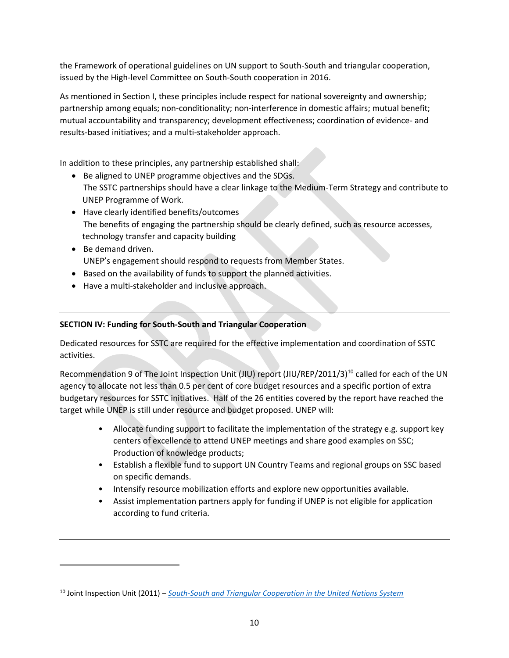the Framework of operational guidelines on UN support to South-South and triangular cooperation, issued by the High-level Committee on South-South cooperation in 2016.

As mentioned in Section I, these principles include respect for national sovereignty and ownership; partnership among equals; non-conditionality; non-interference in domestic affairs; mutual benefit; mutual accountability and transparency; development effectiveness; coordination of evidence- and results-based initiatives; and a multi-stakeholder approach.

In addition to these principles, any partnership established shall:

- Be aligned to UNEP programme objectives and the SDGs. The SSTC partnerships should have a clear linkage to the Medium-Term Strategy and contribute to UNEP Programme of Work.
- Have clearly identified benefits/outcomes The benefits of engaging the partnership should be clearly defined, such as resource accesses, technology transfer and capacity building
- Be demand driven. UNEP's engagement should respond to requests from Member States.
- Based on the availability of funds to support the planned activities.
- Have a multi-stakeholder and inclusive approach.

 $\overline{a}$ 

### **SECTION IV: Funding for South-South and Triangular Cooperation**

Dedicated resources for SSTC are required for the effective implementation and coordination of SSTC activities.

Recommendation 9 of The Joint Inspection Unit (JIU) report (JIU/REP/2011/3)<sup>10</sup> called for each of the UN agency to allocate not less than 0.5 per cent of core budget resources and a specific portion of extra budgetary resources for SSTC initiatives. Half of the 26 entities covered by the report have reached the target while UNEP is still under resource and budget proposed. UNEP will:

- Allocate funding support to facilitate the implementation of the strategy e.g. support key centers of excellence to attend UNEP meetings and share good examples on SSC; Production of knowledge products;
- Establish a flexible fund to support UN Country Teams and regional groups on SSC based on specific demands.
- Intensify resource mobilization efforts and explore new opportunities available.
- Assist implementation partners apply for funding if UNEP is not eligible for application according to fund criteria.

<sup>10</sup> Joint Inspection Unit (2011) – *[South-South and Triangular Cooperation in the United Nations System](https://www.unjiu.org/sites/www.unjiu.org/files/jiu_document_files/products/en/reports-notes/JIU%20Products/JIU_REP_2011_3_English.pdf)*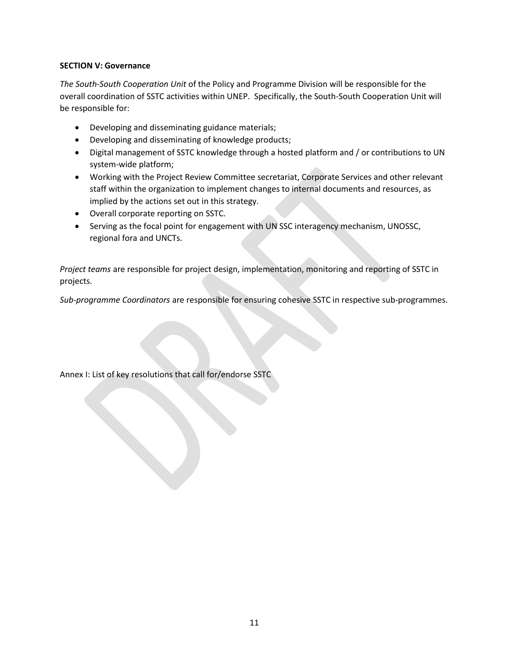#### **SECTION V: Governance**

*The South-South Cooperation Unit* of the Policy and Programme Division will be responsible for the overall coordination of SSTC activities within UNEP. Specifically, the South-South Cooperation Unit will be responsible for:

- Developing and disseminating guidance materials;
- Developing and disseminating of knowledge products;
- Digital management of SSTC knowledge through a hosted platform and / or contributions to UN system-wide platform;
- Working with the Project Review Committee secretariat, Corporate Services and other relevant staff within the organization to implement changes to internal documents and resources, as implied by the actions set out in this strategy.
- Overall corporate reporting on SSTC.
- Serving as the focal point for engagement with UN SSC interagency mechanism, UNOSSC, regional fora and UNCTs.

*Project teams* are responsible for project design, implementation, monitoring and reporting of SSTC in projects.

*Sub-programme Coordinators* are responsible for ensuring cohesive SSTC in respective sub-programmes.

Annex I: List of key resolutions that call for/endorse SSTC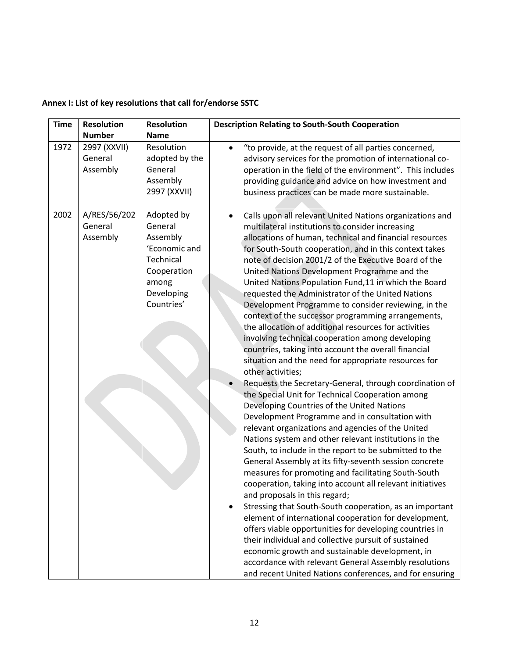| <b>Time</b> | <b>Resolution</b><br><b>Number</b>  | <b>Resolution</b><br><b>Name</b>                                                                                    | <b>Description Relating to South-South Cooperation</b>                                                                                                                                                                                                                                                                                                                                                                                                                                                                                                                                                                                                                                                                                                                                                                                                                                                                                                                                                                                                                                                                                                                                                                                                                                                                                                                                                                                                                                                                                                                                                                                                                                                                                                                                                                                                   |
|-------------|-------------------------------------|---------------------------------------------------------------------------------------------------------------------|----------------------------------------------------------------------------------------------------------------------------------------------------------------------------------------------------------------------------------------------------------------------------------------------------------------------------------------------------------------------------------------------------------------------------------------------------------------------------------------------------------------------------------------------------------------------------------------------------------------------------------------------------------------------------------------------------------------------------------------------------------------------------------------------------------------------------------------------------------------------------------------------------------------------------------------------------------------------------------------------------------------------------------------------------------------------------------------------------------------------------------------------------------------------------------------------------------------------------------------------------------------------------------------------------------------------------------------------------------------------------------------------------------------------------------------------------------------------------------------------------------------------------------------------------------------------------------------------------------------------------------------------------------------------------------------------------------------------------------------------------------------------------------------------------------------------------------------------------------|
| 1972        | 2997 (XXVII)<br>General<br>Assembly | Resolution<br>adopted by the<br>General<br>Assembly<br>2997 (XXVII)                                                 | "to provide, at the request of all parties concerned,<br>$\bullet$<br>advisory services for the promotion of international co-<br>operation in the field of the environment". This includes<br>providing guidance and advice on how investment and<br>business practices can be made more sustainable.                                                                                                                                                                                                                                                                                                                                                                                                                                                                                                                                                                                                                                                                                                                                                                                                                                                                                                                                                                                                                                                                                                                                                                                                                                                                                                                                                                                                                                                                                                                                                   |
| 2002        | A/RES/56/202<br>General<br>Assembly | Adopted by<br>General<br>Assembly<br>'Economic and<br>Technical<br>Cooperation<br>among<br>Developing<br>Countries' | Calls upon all relevant United Nations organizations and<br>$\bullet$<br>multilateral institutions to consider increasing<br>allocations of human, technical and financial resources<br>for South-South cooperation, and in this context takes<br>note of decision 2001/2 of the Executive Board of the<br>United Nations Development Programme and the<br>United Nations Population Fund, 11 in which the Board<br>requested the Administrator of the United Nations<br>Development Programme to consider reviewing, in the<br>context of the successor programming arrangements,<br>the allocation of additional resources for activities<br>involving technical cooperation among developing<br>countries, taking into account the overall financial<br>situation and the need for appropriate resources for<br>other activities;<br>Requests the Secretary-General, through coordination of<br>the Special Unit for Technical Cooperation among<br>Developing Countries of the United Nations<br>Development Programme and in consultation with<br>relevant organizations and agencies of the United<br>Nations system and other relevant institutions in the<br>South, to include in the report to be submitted to the<br>General Assembly at its fifty-seventh session concrete<br>measures for promoting and facilitating South-South<br>cooperation, taking into account all relevant initiatives<br>and proposals in this regard;<br>Stressing that South-South cooperation, as an important<br>element of international cooperation for development,<br>offers viable opportunities for developing countries in<br>their individual and collective pursuit of sustained<br>economic growth and sustainable development, in<br>accordance with relevant General Assembly resolutions<br>and recent United Nations conferences, and for ensuring |

# **Annex I: List of key resolutions that call for/endorse SSTC**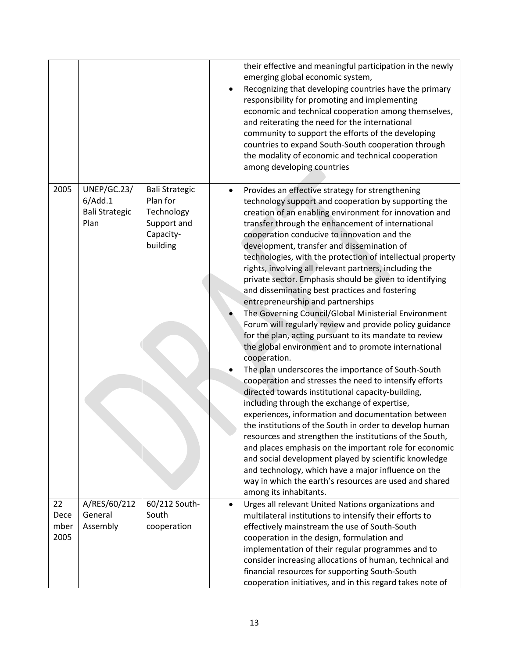|                            |                                                         |                                                                                         |           | their effective and meaningful participation in the newly<br>emerging global economic system,<br>Recognizing that developing countries have the primary<br>responsibility for promoting and implementing<br>economic and technical cooperation among themselves,<br>and reiterating the need for the international<br>community to support the efforts of the developing<br>countries to expand South-South cooperation through<br>the modality of economic and technical cooperation<br>among developing countries                                                                                                                                                                                                                                                                                                                                                                                                                                                                                                                                                                                                                                                                                                                                                                                                                                                                                                                                                                                               |
|----------------------------|---------------------------------------------------------|-----------------------------------------------------------------------------------------|-----------|-------------------------------------------------------------------------------------------------------------------------------------------------------------------------------------------------------------------------------------------------------------------------------------------------------------------------------------------------------------------------------------------------------------------------------------------------------------------------------------------------------------------------------------------------------------------------------------------------------------------------------------------------------------------------------------------------------------------------------------------------------------------------------------------------------------------------------------------------------------------------------------------------------------------------------------------------------------------------------------------------------------------------------------------------------------------------------------------------------------------------------------------------------------------------------------------------------------------------------------------------------------------------------------------------------------------------------------------------------------------------------------------------------------------------------------------------------------------------------------------------------------------|
| 2005                       | UNEP/GC.23/<br>6/Add.1<br><b>Bali Strategic</b><br>Plan | <b>Bali Strategic</b><br>Plan for<br>Technology<br>Support and<br>Capacity-<br>building |           | Provides an effective strategy for strengthening<br>technology support and cooperation by supporting the<br>creation of an enabling environment for innovation and<br>transfer through the enhancement of international<br>cooperation conducive to innovation and the<br>development, transfer and dissemination of<br>technologies, with the protection of intellectual property<br>rights, involving all relevant partners, including the<br>private sector. Emphasis should be given to identifying<br>and disseminating best practices and fostering<br>entrepreneurship and partnerships<br>The Governing Council/Global Ministerial Environment<br>Forum will regularly review and provide policy guidance<br>for the plan, acting pursuant to its mandate to review<br>the global environment and to promote international<br>cooperation.<br>The plan underscores the importance of South-South<br>cooperation and stresses the need to intensify efforts<br>directed towards institutional capacity-building,<br>including through the exchange of expertise,<br>experiences, information and documentation between<br>the institutions of the South in order to develop human<br>resources and strengthen the institutions of the South,<br>and places emphasis on the important role for economic<br>and social development played by scientific knowledge<br>and technology, which have a major influence on the<br>way in which the earth's resources are used and shared<br>among its inhabitants. |
| 22<br>Dece<br>mber<br>2005 | A/RES/60/212<br>General<br>Assembly                     | 60/212 South-<br>South<br>cooperation                                                   | $\bullet$ | Urges all relevant United Nations organizations and<br>multilateral institutions to intensify their efforts to<br>effectively mainstream the use of South-South<br>cooperation in the design, formulation and<br>implementation of their regular programmes and to<br>consider increasing allocations of human, technical and<br>financial resources for supporting South-South<br>cooperation initiatives, and in this regard takes note of                                                                                                                                                                                                                                                                                                                                                                                                                                                                                                                                                                                                                                                                                                                                                                                                                                                                                                                                                                                                                                                                      |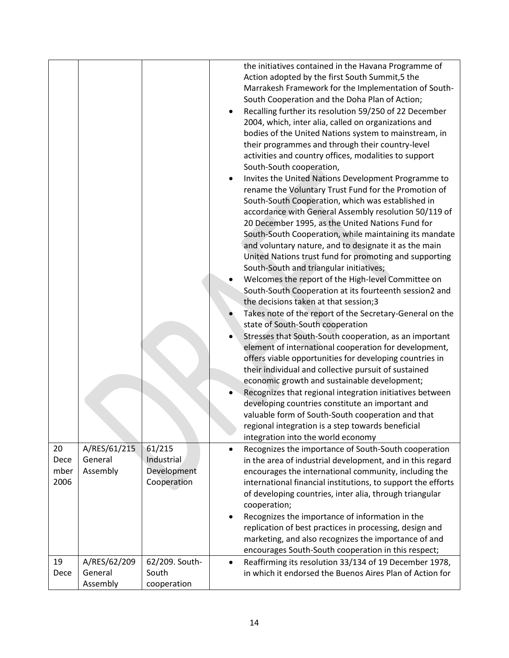|                            |                                     |                                                    | the initiatives contained in the Havana Programme of<br>Action adopted by the first South Summit,5 the<br>Marrakesh Framework for the Implementation of South-<br>South Cooperation and the Doha Plan of Action;<br>Recalling further its resolution 59/250 of 22 December<br>2004, which, inter alia, called on organizations and<br>bodies of the United Nations system to mainstream, in<br>their programmes and through their country-level<br>activities and country offices, modalities to support<br>South-South cooperation,<br>Invites the United Nations Development Programme to<br>rename the Voluntary Trust Fund for the Promotion of<br>South-South Cooperation, which was established in<br>accordance with General Assembly resolution 50/119 of<br>20 December 1995, as the United Nations Fund for<br>South-South Cooperation, while maintaining its mandate<br>and voluntary nature, and to designate it as the main<br>United Nations trust fund for promoting and supporting<br>South-South and triangular initiatives;<br>Welcomes the report of the High-level Committee on<br>South-South Cooperation at its fourteenth session2 and<br>the decisions taken at that session;3<br>Takes note of the report of the Secretary-General on the<br>state of South-South cooperation<br>Stresses that South-South cooperation, as an important<br>element of international cooperation for development,<br>offers viable opportunities for developing countries in<br>their individual and collective pursuit of sustained<br>economic growth and sustainable development;<br>Recognizes that regional integration initiatives between<br>developing countries constitute an important and<br>valuable form of South-South cooperation and that<br>regional integration is a step towards beneficial<br>integration into the world economy |
|----------------------------|-------------------------------------|----------------------------------------------------|--------------------------------------------------------------------------------------------------------------------------------------------------------------------------------------------------------------------------------------------------------------------------------------------------------------------------------------------------------------------------------------------------------------------------------------------------------------------------------------------------------------------------------------------------------------------------------------------------------------------------------------------------------------------------------------------------------------------------------------------------------------------------------------------------------------------------------------------------------------------------------------------------------------------------------------------------------------------------------------------------------------------------------------------------------------------------------------------------------------------------------------------------------------------------------------------------------------------------------------------------------------------------------------------------------------------------------------------------------------------------------------------------------------------------------------------------------------------------------------------------------------------------------------------------------------------------------------------------------------------------------------------------------------------------------------------------------------------------------------------------------------------------------------------------------------------------------------------------------------|
| 20<br>Dece<br>mber<br>2006 | A/RES/61/215<br>General<br>Assembly | 61/215<br>Industrial<br>Development<br>Cooperation | Recognizes the importance of South-South cooperation<br>$\bullet$<br>in the area of industrial development, and in this regard<br>encourages the international community, including the<br>international financial institutions, to support the efforts                                                                                                                                                                                                                                                                                                                                                                                                                                                                                                                                                                                                                                                                                                                                                                                                                                                                                                                                                                                                                                                                                                                                                                                                                                                                                                                                                                                                                                                                                                                                                                                                      |
|                            |                                     |                                                    | of developing countries, inter alia, through triangular<br>cooperation;                                                                                                                                                                                                                                                                                                                                                                                                                                                                                                                                                                                                                                                                                                                                                                                                                                                                                                                                                                                                                                                                                                                                                                                                                                                                                                                                                                                                                                                                                                                                                                                                                                                                                                                                                                                      |
|                            |                                     |                                                    | Recognizes the importance of information in the<br>replication of best practices in processing, design and<br>marketing, and also recognizes the importance of and<br>encourages South-South cooperation in this respect;                                                                                                                                                                                                                                                                                                                                                                                                                                                                                                                                                                                                                                                                                                                                                                                                                                                                                                                                                                                                                                                                                                                                                                                                                                                                                                                                                                                                                                                                                                                                                                                                                                    |
| 19                         | A/RES/62/209                        | 62/209. South-                                     | Reaffirming its resolution 33/134 of 19 December 1978,<br>$\bullet$                                                                                                                                                                                                                                                                                                                                                                                                                                                                                                                                                                                                                                                                                                                                                                                                                                                                                                                                                                                                                                                                                                                                                                                                                                                                                                                                                                                                                                                                                                                                                                                                                                                                                                                                                                                          |
| Dece                       | General                             | South                                              | in which it endorsed the Buenos Aires Plan of Action for                                                                                                                                                                                                                                                                                                                                                                                                                                                                                                                                                                                                                                                                                                                                                                                                                                                                                                                                                                                                                                                                                                                                                                                                                                                                                                                                                                                                                                                                                                                                                                                                                                                                                                                                                                                                     |
|                            | Assembly                            | cooperation                                        |                                                                                                                                                                                                                                                                                                                                                                                                                                                                                                                                                                                                                                                                                                                                                                                                                                                                                                                                                                                                                                                                                                                                                                                                                                                                                                                                                                                                                                                                                                                                                                                                                                                                                                                                                                                                                                                              |
|                            |                                     |                                                    |                                                                                                                                                                                                                                                                                                                                                                                                                                                                                                                                                                                                                                                                                                                                                                                                                                                                                                                                                                                                                                                                                                                                                                                                                                                                                                                                                                                                                                                                                                                                                                                                                                                                                                                                                                                                                                                              |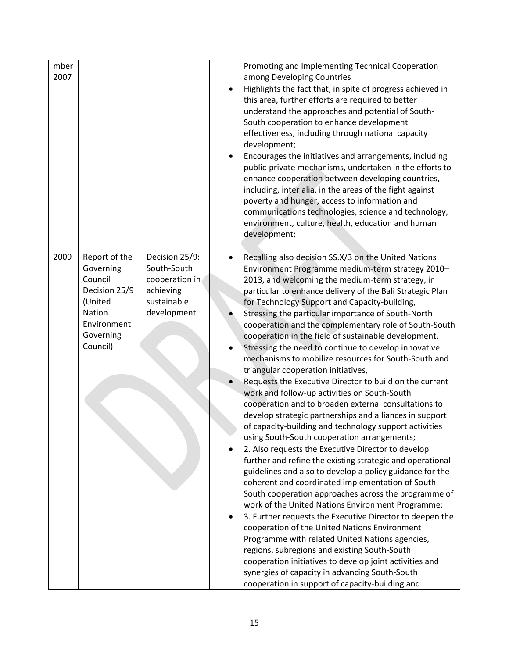| mber<br>2007 |                                                                                                                     |                                                                                            | Promoting and Implementing Technical Cooperation<br>among Developing Countries<br>Highlights the fact that, in spite of progress achieved in<br>this area, further efforts are required to better<br>understand the approaches and potential of South-<br>South cooperation to enhance development<br>effectiveness, including through national capacity<br>development;<br>Encourages the initiatives and arrangements, including<br>public-private mechanisms, undertaken in the efforts to<br>enhance cooperation between developing countries,<br>including, inter alia, in the areas of the fight against<br>poverty and hunger, access to information and<br>communications technologies, science and technology,<br>environment, culture, health, education and human<br>development;                                                                                                                                                                                                                                                                                                                                                                                                                                                                                                                                                                                                                                                                                                                                                                                                                                                                                     |
|--------------|---------------------------------------------------------------------------------------------------------------------|--------------------------------------------------------------------------------------------|----------------------------------------------------------------------------------------------------------------------------------------------------------------------------------------------------------------------------------------------------------------------------------------------------------------------------------------------------------------------------------------------------------------------------------------------------------------------------------------------------------------------------------------------------------------------------------------------------------------------------------------------------------------------------------------------------------------------------------------------------------------------------------------------------------------------------------------------------------------------------------------------------------------------------------------------------------------------------------------------------------------------------------------------------------------------------------------------------------------------------------------------------------------------------------------------------------------------------------------------------------------------------------------------------------------------------------------------------------------------------------------------------------------------------------------------------------------------------------------------------------------------------------------------------------------------------------------------------------------------------------------------------------------------------------|
| 2009         | Report of the<br>Governing<br>Council<br>Decision 25/9<br>(United<br>Nation<br>Environment<br>Governing<br>Council) | Decision 25/9:<br>South-South<br>cooperation in<br>achieving<br>sustainable<br>development | Recalling also decision SS.X/3 on the United Nations<br>Environment Programme medium-term strategy 2010-<br>2013, and welcoming the medium-term strategy, in<br>particular to enhance delivery of the Bali Strategic Plan<br>for Technology Support and Capacity-building,<br>Stressing the particular importance of South-North<br>cooperation and the complementary role of South-South<br>cooperation in the field of sustainable development,<br>Stressing the need to continue to develop innovative<br>mechanisms to mobilize resources for South-South and<br>triangular cooperation initiatives,<br>Requests the Executive Director to build on the current<br>work and follow-up activities on South-South<br>cooperation and to broaden external consultations to<br>develop strategic partnerships and alliances in support<br>of capacity-building and technology support activities<br>using South-South cooperation arrangements;<br>2. Also requests the Executive Director to develop<br>further and refine the existing strategic and operational<br>guidelines and also to develop a policy guidance for the<br>coherent and coordinated implementation of South-<br>South cooperation approaches across the programme of<br>work of the United Nations Environment Programme;<br>3. Further requests the Executive Director to deepen the<br>cooperation of the United Nations Environment<br>Programme with related United Nations agencies,<br>regions, subregions and existing South-South<br>cooperation initiatives to develop joint activities and<br>synergies of capacity in advancing South-South<br>cooperation in support of capacity-building and |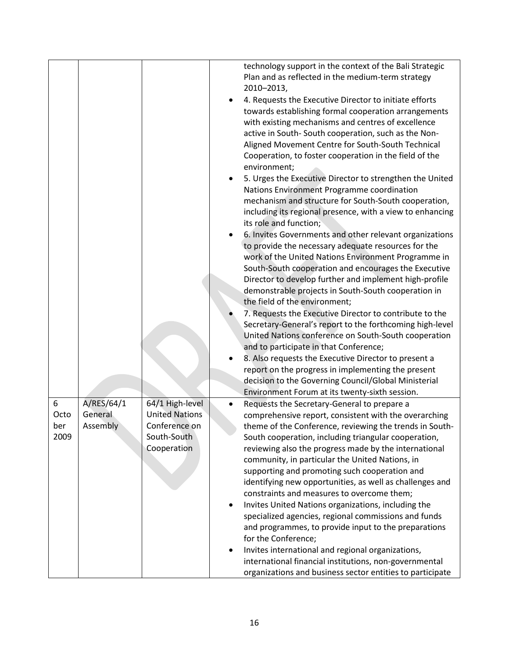|                     |                     |                                                                      | technology support in the context of the Bali Strategic<br>Plan and as reflected in the medium-term strategy<br>2010-2013,<br>4. Requests the Executive Director to initiate efforts<br>towards establishing formal cooperation arrangements<br>with existing mechanisms and centres of excellence<br>active in South-South cooperation, such as the Non-<br>Aligned Movement Centre for South-South Technical<br>Cooperation, to foster cooperation in the field of the<br>environment;<br>5. Urges the Executive Director to strengthen the United<br>Nations Environment Programme coordination<br>mechanism and structure for South-South cooperation,<br>including its regional presence, with a view to enhancing<br>its role and function;<br>6. Invites Governments and other relevant organizations<br>to provide the necessary adequate resources for the<br>work of the United Nations Environment Programme in<br>South-South cooperation and encourages the Executive<br>Director to develop further and implement high-profile<br>demonstrable projects in South-South cooperation in<br>the field of the environment;<br>7. Requests the Executive Director to contribute to the<br>Secretary-General's report to the forthcoming high-level<br>United Nations conference on South-South cooperation<br>and to participate in that Conference;<br>8. Also requests the Executive Director to present a<br>report on the progress in implementing the present<br>decision to the Governing Council/Global Ministerial<br>Environment Forum at its twenty-sixth session. |
|---------------------|---------------------|----------------------------------------------------------------------|---------------------------------------------------------------------------------------------------------------------------------------------------------------------------------------------------------------------------------------------------------------------------------------------------------------------------------------------------------------------------------------------------------------------------------------------------------------------------------------------------------------------------------------------------------------------------------------------------------------------------------------------------------------------------------------------------------------------------------------------------------------------------------------------------------------------------------------------------------------------------------------------------------------------------------------------------------------------------------------------------------------------------------------------------------------------------------------------------------------------------------------------------------------------------------------------------------------------------------------------------------------------------------------------------------------------------------------------------------------------------------------------------------------------------------------------------------------------------------------------------------------------------------------------------------------------------------------|
| 6                   | A/RES/64/1          | 64/1 High-level                                                      | Requests the Secretary-General to prepare a                                                                                                                                                                                                                                                                                                                                                                                                                                                                                                                                                                                                                                                                                                                                                                                                                                                                                                                                                                                                                                                                                                                                                                                                                                                                                                                                                                                                                                                                                                                                           |
| Octo<br>ber<br>2009 | General<br>Assembly | <b>United Nations</b><br>Conference on<br>South-South<br>Cooperation | comprehensive report, consistent with the overarching<br>theme of the Conference, reviewing the trends in South-<br>South cooperation, including triangular cooperation,<br>reviewing also the progress made by the international<br>community, in particular the United Nations, in<br>supporting and promoting such cooperation and<br>identifying new opportunities, as well as challenges and<br>constraints and measures to overcome them;<br>Invites United Nations organizations, including the<br>$\bullet$<br>specialized agencies, regional commissions and funds<br>and programmes, to provide input to the preparations<br>for the Conference;<br>Invites international and regional organizations,<br>international financial institutions, non-governmental<br>organizations and business sector entities to participate                                                                                                                                                                                                                                                                                                                                                                                                                                                                                                                                                                                                                                                                                                                                                |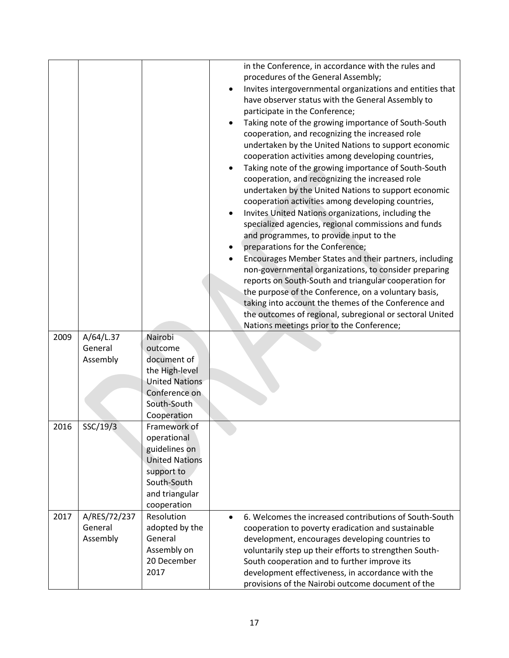|      |              |                       | in the Conference, in accordance with the rules and       |
|------|--------------|-----------------------|-----------------------------------------------------------|
|      |              |                       | procedures of the General Assembly;                       |
|      |              |                       | Invites intergovernmental organizations and entities that |
|      |              |                       | have observer status with the General Assembly to         |
|      |              |                       | participate in the Conference;                            |
|      |              |                       | Taking note of the growing importance of South-South      |
|      |              |                       | cooperation, and recognizing the increased role           |
|      |              |                       | undertaken by the United Nations to support economic      |
|      |              |                       | cooperation activities among developing countries,        |
|      |              |                       | Taking note of the growing importance of South-South      |
|      |              |                       | cooperation, and recognizing the increased role           |
|      |              |                       | undertaken by the United Nations to support economic      |
|      |              |                       | cooperation activities among developing countries,        |
|      |              |                       | Invites United Nations organizations, including the       |
|      |              |                       | specialized agencies, regional commissions and funds      |
|      |              |                       | and programmes, to provide input to the                   |
|      |              |                       | preparations for the Conference;                          |
|      |              |                       | Encourages Member States and their partners, including    |
|      |              |                       | non-governmental organizations, to consider preparing     |
|      |              |                       | reports on South-South and triangular cooperation for     |
|      |              |                       | the purpose of the Conference, on a voluntary basis,      |
|      |              |                       | taking into account the themes of the Conference and      |
|      |              |                       | the outcomes of regional, subregional or sectoral United  |
|      |              |                       | Nations meetings prior to the Conference;                 |
| 2009 | A/64/L.37    | Nairobi               |                                                           |
|      | General      | outcome               |                                                           |
|      | Assembly     | document of           |                                                           |
|      |              | the High-level        |                                                           |
|      |              | <b>United Nations</b> |                                                           |
|      |              | Conference on         |                                                           |
|      |              | South-South           |                                                           |
|      |              | Cooperation           |                                                           |
| 2016 | SSC/19/3     | Framework of          |                                                           |
|      |              | operational           |                                                           |
|      |              | guidelines on         |                                                           |
|      |              | <b>United Nations</b> |                                                           |
|      |              | support to            |                                                           |
|      |              | South-South           |                                                           |
|      |              | and triangular        |                                                           |
|      |              | cooperation           |                                                           |
| 2017 | A/RES/72/237 | Resolution            | 6. Welcomes the increased contributions of South-South    |
|      | General      | adopted by the        | cooperation to poverty eradication and sustainable        |
|      | Assembly     | General               | development, encourages developing countries to           |
|      |              | Assembly on           | voluntarily step up their efforts to strengthen South-    |
|      |              | 20 December           | South cooperation and to further improve its              |
|      |              | 2017                  | development effectiveness, in accordance with the         |
|      |              |                       | provisions of the Nairobi outcome document of the         |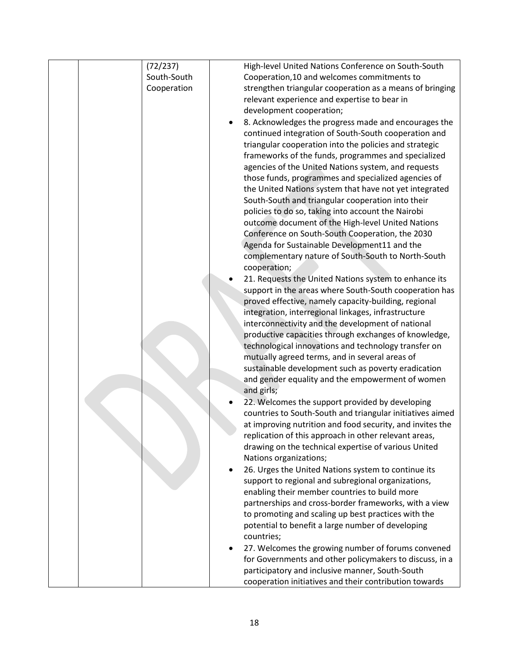|  | (72/237)    | High-level United Nations Conference on South-South       |
|--|-------------|-----------------------------------------------------------|
|  | South-South | Cooperation, 10 and welcomes commitments to               |
|  | Cooperation | strengthen triangular cooperation as a means of bringing  |
|  |             | relevant experience and expertise to bear in              |
|  |             | development cooperation;                                  |
|  |             |                                                           |
|  |             | 8. Acknowledges the progress made and encourages the      |
|  |             | continued integration of South-South cooperation and      |
|  |             | triangular cooperation into the policies and strategic    |
|  |             | frameworks of the funds, programmes and specialized       |
|  |             | agencies of the United Nations system, and requests       |
|  |             | those funds, programmes and specialized agencies of       |
|  |             | the United Nations system that have not yet integrated    |
|  |             | South-South and triangular cooperation into their         |
|  |             | policies to do so, taking into account the Nairobi        |
|  |             | outcome document of the High-level United Nations         |
|  |             | Conference on South-South Cooperation, the 2030           |
|  |             | Agenda for Sustainable Development11 and the              |
|  |             | complementary nature of South-South to North-South        |
|  |             | cooperation;                                              |
|  |             | 21. Requests the United Nations system to enhance its     |
|  |             | support in the areas where South-South cooperation has    |
|  |             |                                                           |
|  |             | proved effective, namely capacity-building, regional      |
|  |             | integration, interregional linkages, infrastructure       |
|  |             | interconnectivity and the development of national         |
|  |             | productive capacities through exchanges of knowledge,     |
|  |             | technological innovations and technology transfer on      |
|  |             | mutually agreed terms, and in several areas of            |
|  |             | sustainable development such as poverty eradication       |
|  |             | and gender equality and the empowerment of women          |
|  |             | and girls;                                                |
|  |             | 22. Welcomes the support provided by developing           |
|  |             | countries to South-South and triangular initiatives aimed |
|  |             | at improving nutrition and food security, and invites the |
|  |             | replication of this approach in other relevant areas,     |
|  |             | drawing on the technical expertise of various United      |
|  |             | Nations organizations;                                    |
|  |             | 26. Urges the United Nations system to continue its       |
|  |             | support to regional and subregional organizations,        |
|  |             | enabling their member countries to build more             |
|  |             | partnerships and cross-border frameworks, with a view     |
|  |             | to promoting and scaling up best practices with the       |
|  |             | potential to benefit a large number of developing         |
|  |             | countries;                                                |
|  |             |                                                           |
|  |             | 27. Welcomes the growing number of forums convened        |
|  |             | for Governments and other policymakers to discuss, in a   |
|  |             | participatory and inclusive manner, South-South           |
|  |             | cooperation initiatives and their contribution towards    |